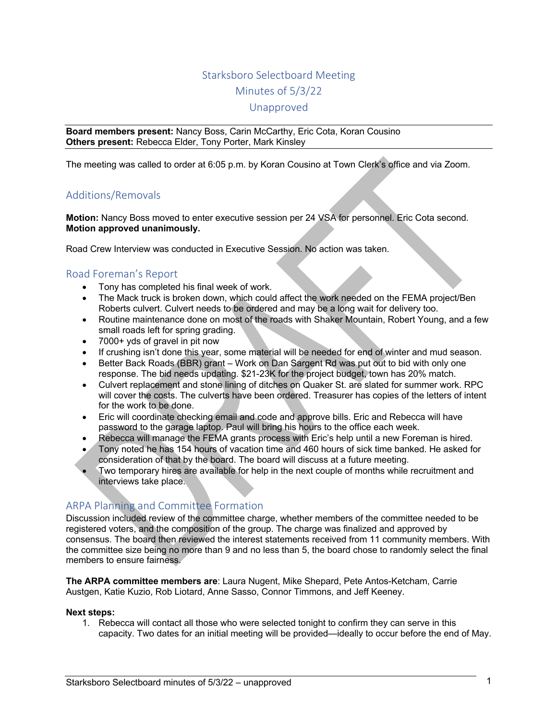# Starksboro Selectboard Meeting Minutes of 5/3/22 Unapproved

**Board members present:** Nancy Boss, Carin McCarthy, Eric Cota, Koran Cousino **Others present:** Rebecca Elder, Tony Porter, Mark Kinsley

The meeting was called to order at 6:05 p.m. by Koran Cousino at Town Clerk's office and via Zoom.

# Additions/Removals

**Motion:** Nancy Boss moved to enter executive session per 24 VSA for personnel. Eric Cota second. **Motion approved unanimously.**

Road Crew Interview was conducted in Executive Session. No action was taken.

#### Road Foreman's Report

- Tony has completed his final week of work.
- The Mack truck is broken down, which could affect the work needed on the FEMA project/Ben Roberts culvert. Culvert needs to be ordered and may be a long wait for delivery too.
- Routine maintenance done on most of the roads with Shaker Mountain, Robert Young, and a few small roads left for spring grading.
- 7000+ yds of gravel in pit now
- If crushing isn't done this year, some material will be needed for end of winter and mud season.
- Better Back Roads (BBR) grant Work on Dan Sargent Rd was put out to bid with only one response. The bid needs updating. \$21-23K for the project budget, town has 20% match.
- Culvert replacement and stone lining of ditches on Quaker St. are slated for summer work. RPC will cover the costs. The culverts have been ordered. Treasurer has copies of the letters of intent for the work to be done.
- Eric will coordinate checking email and code and approve bills. Eric and Rebecca will have password to the garage laptop. Paul will bring his hours to the office each week.
- Rebecca will manage the FEMA grants process with Eric's help until a new Foreman is hired.
- Tony noted he has 154 hours of vacation time and 460 hours of sick time banked. He asked for consideration of that by the board. The board will discuss at a future meeting.
- Two temporary hires are available for help in the next couple of months while recruitment and interviews take place.

### ARPA Planning and Committee Formation

Discussion included review of the committee charge, whether members of the committee needed to be registered voters, and the composition of the group. The charge was finalized and approved by consensus. The board then reviewed the interest statements received from 11 community members. With the committee size being no more than 9 and no less than 5, the board chose to randomly select the final members to ensure fairness.

**The ARPA committee members are**: Laura Nugent, Mike Shepard, Pete Antos-Ketcham, Carrie Austgen, Katie Kuzio, Rob Liotard, Anne Sasso, Connor Timmons, and Jeff Keeney.

#### **Next steps:**

1. Rebecca will contact all those who were selected tonight to confirm they can serve in this capacity. Two dates for an initial meeting will be provided—ideally to occur before the end of May.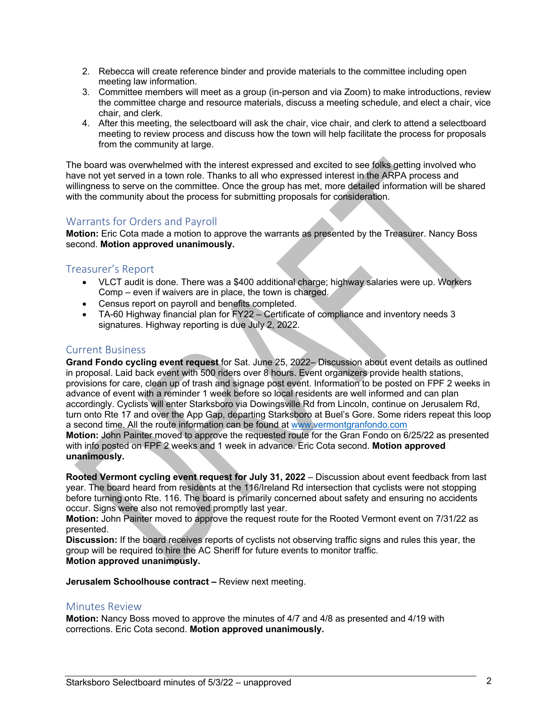- 2. Rebecca will create reference binder and provide materials to the committee including open meeting law information.
- 3. Committee members will meet as a group (in-person and via Zoom) to make introductions, review the committee charge and resource materials, discuss a meeting schedule, and elect a chair, vice chair, and clerk.
- 4. After this meeting, the selectboard will ask the chair, vice chair, and clerk to attend a selectboard meeting to review process and discuss how the town will help facilitate the process for proposals from the community at large.

The board was overwhelmed with the interest expressed and excited to see folks getting involved who have not yet served in a town role. Thanks to all who expressed interest in the ARPA process and willingness to serve on the committee. Once the group has met, more detailed information will be shared with the community about the process for submitting proposals for consideration.

# Warrants for Orders and Payroll

**Motion:** Eric Cota made a motion to approve the warrants as presented by the Treasurer. Nancy Boss second. **Motion approved unanimously.**

### Treasurer's Report

- VLCT audit is done. There was a \$400 additional charge; highway salaries were up. Workers Comp – even if waivers are in place, the town is charged.
- Census report on payroll and benefits completed.
- TA-60 Highway financial plan for FY22 Certificate of compliance and inventory needs 3 signatures. Highway reporting is due July 2, 2022.

## Current Business

**Grand Fondo cycling event request** for Sat. June 25, 2022– Discussion about event details as outlined in proposal. Laid back event with 500 riders over 8 hours. Event organizers provide health stations, provisions for care, clean up of trash and signage post event. Information to be posted on FPF 2 weeks in advance of event with a reminder 1 week before so local residents are well informed and can plan accordingly. Cyclists will enter Starksboro via Dowingsville Rd from Lincoln, continue on Jerusalem Rd, turn onto Rte 17 and over the App Gap, departing Starksboro at Buel's Gore. Some riders repeat this loop a second time. All the route information can be found at www.vermontgranfondo.com **Motion:** John Painter moved to approve the requested route for the Gran Fondo on 6/25/22 as presented with info posted on FPF 2 weeks and 1 week in advance. Eric Cota second. **Motion approved** 

**unanimously. Rooted Vermont cycling event request for July 31, 2022** – Discussion about event feedback from last

year. The board heard from residents at the 116/Ireland Rd intersection that cyclists were not stopping before turning onto Rte. 116. The board is primarily concerned about safety and ensuring no accidents occur. Signs were also not removed promptly last year.

**Motion:** John Painter moved to approve the request route for the Rooted Vermont event on 7/31/22 as presented.

**Discussion:** If the board receives reports of cyclists not observing traffic signs and rules this year, the group will be required to hire the AC Sheriff for future events to monitor traffic. **Motion approved unanimously.**

**Jerusalem Schoolhouse contract –** Review next meeting.

### Minutes Review

**Motion:** Nancy Boss moved to approve the minutes of 4/7 and 4/8 as presented and 4/19 with corrections. Eric Cota second. **Motion approved unanimously.**